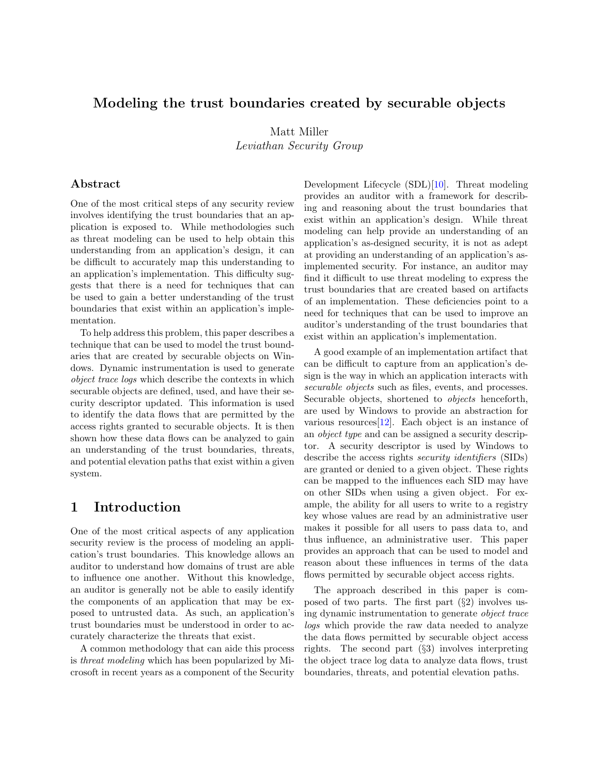## Modeling the trust boundaries created by securable objects

Matt Miller Leviathan Security Group

## Abstract

One of the most critical steps of any security review involves identifying the trust boundaries that an application is exposed to. While methodologies such as threat modeling can be used to help obtain this understanding from an application's design, it can be difficult to accurately map this understanding to an application's implementation. This difficulty suggests that there is a need for techniques that can be used to gain a better understanding of the trust boundaries that exist within an application's implementation.

To help address this problem, this paper describes a technique that can be used to model the trust boundaries that are created by securable objects on Windows. Dynamic instrumentation is used to generate object trace logs which describe the contexts in which securable objects are defined, used, and have their security descriptor updated. This information is used to identify the data flows that are permitted by the access rights granted to securable objects. It is then shown how these data flows can be analyzed to gain an understanding of the trust boundaries, threats, and potential elevation paths that exist within a given system.

## 1 Introduction

One of the most critical aspects of any application security review is the process of modeling an application's trust boundaries. This knowledge allows an auditor to understand how domains of trust are able to influence one another. Without this knowledge, an auditor is generally not be able to easily identify the components of an application that may be exposed to untrusted data. As such, an application's trust boundaries must be understood in order to accurately characterize the threats that exist.

A common methodology that can aide this process is threat modeling which has been popularized by Microsoft in recent years as a component of the Security Development Lifecycle (SDL)[\[10\]](#page-6-0). Threat modeling provides an auditor with a framework for describing and reasoning about the trust boundaries that exist within an application's design. While threat modeling can help provide an understanding of an application's as-designed security, it is not as adept at providing an understanding of an application's asimplemented security. For instance, an auditor may find it difficult to use threat modeling to express the trust boundaries that are created based on artifacts of an implementation. These deficiencies point to a need for techniques that can be used to improve an auditor's understanding of the trust boundaries that exist within an application's implementation.

A good example of an implementation artifact that can be difficult to capture from an application's design is the way in which an application interacts with securable objects such as files, events, and processes. Securable objects, shortened to objects henceforth, are used by Windows to provide an abstraction for various resources  $[12]$ . Each object is an instance of an object type and can be assigned a security descriptor. A security descriptor is used by Windows to describe the access rights security identifiers (SIDs) are granted or denied to a given object. These rights can be mapped to the influences each SID may have on other SIDs when using a given object. For example, the ability for all users to write to a registry key whose values are read by an administrative user makes it possible for all users to pass data to, and thus influence, an administrative user. This paper provides an approach that can be used to model and reason about these influences in terms of the data flows permitted by securable object access rights.

The approach described in this paper is composed of two parts. The first part  $(\S2)$  $(\S2)$  involves using dynamic instrumentation to generate object trace logs which provide the raw data needed to analyze the data flows permitted by securable object access rights. The second part (§[3\)](#page-2-0) involves interpreting the object trace log data to analyze data flows, trust boundaries, threats, and potential elevation paths.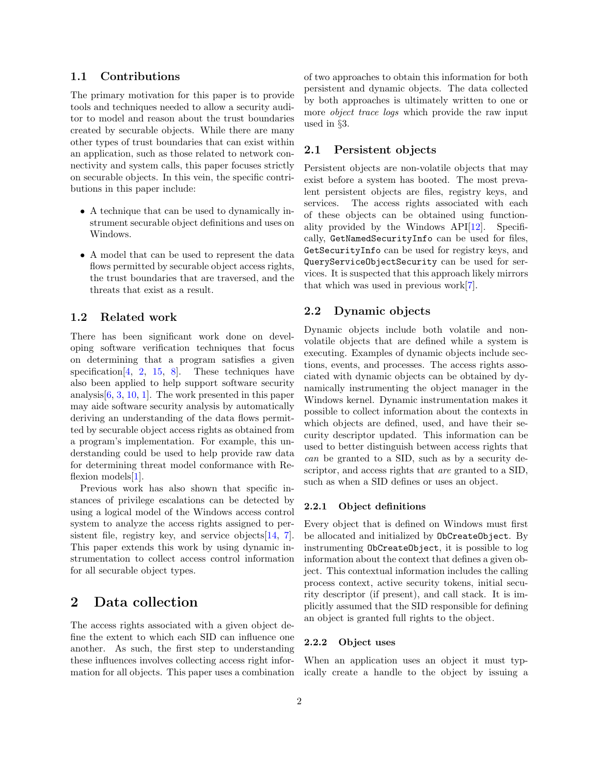### 1.1 Contributions

The primary motivation for this paper is to provide tools and techniques needed to allow a security auditor to model and reason about the trust boundaries created by securable objects. While there are many other types of trust boundaries that can exist within an application, such as those related to network connectivity and system calls, this paper focuses strictly on securable objects. In this vein, the specific contributions in this paper include:

- A technique that can be used to dynamically instrument securable object definitions and uses on Windows.
- A model that can be used to represent the data flows permitted by securable object access rights, the trust boundaries that are traversed, and the threats that exist as a result.

## 1.2 Related work

There has been significant work done on developing software verification techniques that focus on determining that a program satisfies a given specification  $[4, 2, 15, 8]$  $[4, 2, 15, 8]$  $[4, 2, 15, 8]$  $[4, 2, 15, 8]$  $[4, 2, 15, 8]$  $[4, 2, 15, 8]$  $[4, 2, 15, 8]$ . These techniques have also been applied to help support software security analysis[\[6,](#page-6-6) [3,](#page-6-7) [10,](#page-6-0) [1\]](#page-6-8). The work presented in this paper may aide software security analysis by automatically deriving an understanding of the data flows permitted by securable object access rights as obtained from a program's implementation. For example, this understanding could be used to help provide raw data for determining threat model conformance with Re-flexion models [\[1\]](#page-6-8).

Previous work has also shown that specific instances of privilege escalations can be detected by using a logical model of the Windows access control system to analyze the access rights assigned to persistent file, registry key, and service objects $[14, 7]$  $[14, 7]$  $[14, 7]$ . This paper extends this work by using dynamic instrumentation to collect access control information for all securable object types.

## <span id="page-1-0"></span>2 Data collection

The access rights associated with a given object define the extent to which each SID can influence one another. As such, the first step to understanding these influences involves collecting access right information for all objects. This paper uses a combination of two approaches to obtain this information for both persistent and dynamic objects. The data collected by both approaches is ultimately written to one or more object trace logs which provide the raw input used in §[3.](#page-2-0)

## 2.1 Persistent objects

Persistent objects are non-volatile objects that may exist before a system has booted. The most prevalent persistent objects are files, registry keys, and services. The access rights associated with each of these objects can be obtained using functionality provided by the Windows  $API[12]$  $API[12]$ . Specifically, GetNamedSecurityInfo can be used for files, GetSecurityInfo can be used for registry keys, and QueryServiceObjectSecurity can be used for services. It is suspected that this approach likely mirrors that which was used in previous work[\[7\]](#page-6-10).

#### 2.2 Dynamic objects

Dynamic objects include both volatile and nonvolatile objects that are defined while a system is executing. Examples of dynamic objects include sections, events, and processes. The access rights associated with dynamic objects can be obtained by dynamically instrumenting the object manager in the Windows kernel. Dynamic instrumentation makes it possible to collect information about the contexts in which objects are defined, used, and have their security descriptor updated. This information can be used to better distinguish between access rights that can be granted to a SID, such as by a security descriptor, and access rights that are granted to a SID, such as when a SID defines or uses an object.

#### 2.2.1 Object definitions

Every object that is defined on Windows must first be allocated and initialized by ObCreateObject. By instrumenting ObCreateObject, it is possible to log information about the context that defines a given object. This contextual information includes the calling process context, active security tokens, initial security descriptor (if present), and call stack. It is implicitly assumed that the SID responsible for defining an object is granted full rights to the object.

### 2.2.2 Object uses

When an application uses an object it must typically create a handle to the object by issuing a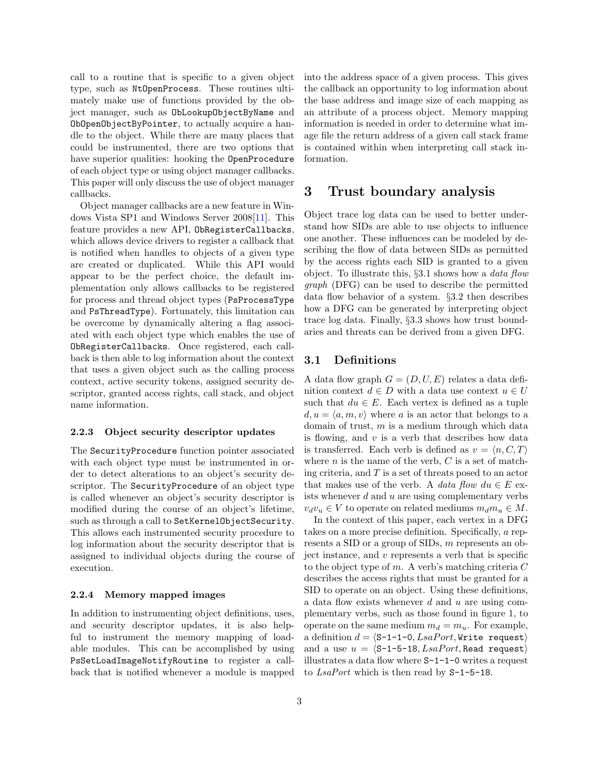call to a routine that is specific to a given object type, such as NtOpenProcess. These routines ultimately make use of functions provided by the object manager, such as ObLookupObjectByName and ObOpenObjectByPointer, to actually acquire a handle to the object. While there are many places that could be instrumented, there are two options that have superior qualities: hooking the OpenProcedure of each object type or using object manager callbacks. This paper will only discuss the use of object manager callbacks.

Object manager callbacks are a new feature in Windows Vista SP1 and Windows Server 2008[\[11\]](#page-6-11). This feature provides a new API, ObRegisterCallbacks, which allows device drivers to register a callback that is notified when handles to objects of a given type are created or duplicated. While this API would appear to be the perfect choice, the default implementation only allows callbacks to be registered for process and thread object types (PsProcessType and PsThreadType). Fortunately, this limitation can be overcome by dynamically altering a flag associated with each object type which enables the use of ObRegisterCallbacks. Once registered, each callback is then able to log information about the context that uses a given object such as the calling process context, active security tokens, assigned security descriptor, granted access rights, call stack, and object name information.

#### 2.2.3 Object security descriptor updates

The SecurityProcedure function pointer associated with each object type must be instrumented in order to detect alterations to an object's security descriptor. The SecurityProcedure of an object type is called whenever an object's security descriptor is modified during the course of an object's lifetime, such as through a call to SetKernelObjectSecurity. This allows each instrumented security procedure to log information about the security descriptor that is assigned to individual objects during the course of execution.

#### 2.2.4 Memory mapped images

In addition to instrumenting object definitions, uses, and security descriptor updates, it is also helpful to instrument the memory mapping of loadable modules. This can be accomplished by using PsSetLoadImageNotifyRoutine to register a callback that is notified whenever a module is mapped into the address space of a given process. This gives the callback an opportunity to log information about the base address and image size of each mapping as an attribute of a process object. Memory mapping information is needed in order to determine what image file the return address of a given call stack frame is contained within when interpreting call stack information.

## <span id="page-2-0"></span>3 Trust boundary analysis

Object trace log data can be used to better understand how SIDs are able to use objects to influence one another. These influences can be modeled by describing the flow of data between SIDs as permitted by the access rights each SID is granted to a given object. To illustrate this, §[3.1](#page-2-1) shows how a data flow graph (DFG) can be used to describe the permitted data flow behavior of a system. §[3.2](#page-3-0) then describes how a DFG can be generated by interpreting object trace log data. Finally, §[3.3](#page-3-1) shows how trust boundaries and threats can be derived from a given DFG.

### <span id="page-2-1"></span>3.1 Definitions

A data flow graph  $G = (D, U, E)$  relates a data definition context  $d \in D$  with a data use context  $u \in U$ such that  $du \in E$ . Each vertex is defined as a tuple  $d, u = \langle a, m, v \rangle$  where a is an actor that belongs to a domain of trust,  $m$  is a medium through which data is flowing, and  $v$  is a verb that describes how data is transferred. Each verb is defined as  $v = \langle n, C, T \rangle$ where  $n$  is the name of the verb,  $C$  is a set of matching criteria, and  $T$  is a set of threats posed to an actor that makes use of the verb. A data flow  $du \in E$  exists whenever  $d$  and  $u$  are using complementary verbs  $v_dv_u \in V$  to operate on related mediums  $m_d m_u \in M$ .

In the context of this paper, each vertex in a DFG takes on a more precise definition. Specifically, a represents a SID or a group of SIDs, m represents an object instance, and  $v$  represents a verb that is specific to the object type of m. A verb's matching criteria  $C$ describes the access rights that must be granted for a SID to operate on an object. Using these definitions, a data flow exists whenever  $d$  and  $u$  are using complementary verbs, such as those found in figure 1, to operate on the same medium  $m_d = m_u$ . For example, a definition  $d = \langle S-1-1-0, \text{LsaPort}, \text{Write request} \rangle$ and a use  $u = \langle S-1-5-18, \text{LsaPort}, \text{Read request} \rangle$ illustrates a data flow where S-1-1-0 writes a request to LsaPort which is then read by S-1-5-18.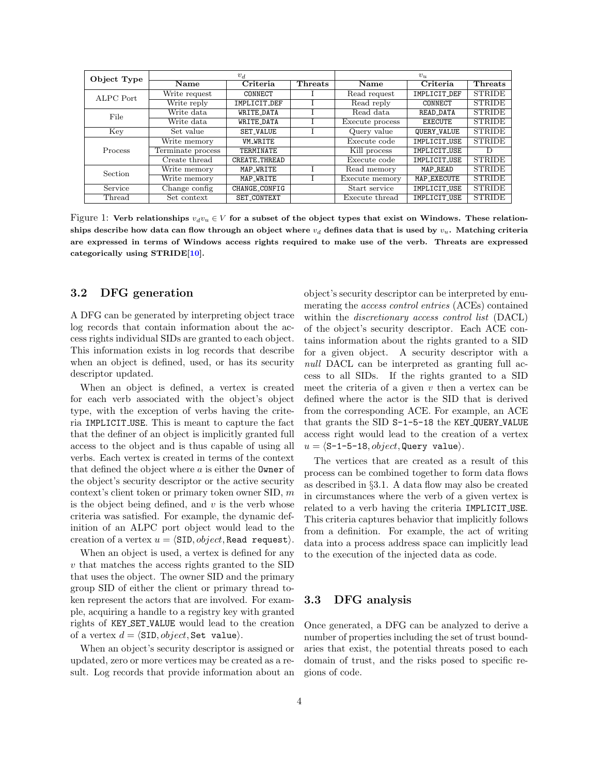| Object Type | $v_d$                          |                      |                | $v_u$           |                |               |
|-------------|--------------------------------|----------------------|----------------|-----------------|----------------|---------------|
|             | $\overline{\mathbf{N}}$ ame    | Criteria             | <b>Threats</b> | Name            | Criteria       | Threats       |
| ALPC Port   | Write request                  | CONNECT              |                | Read request    | IMPLICIT DEF   | <b>STRIDE</b> |
|             | Write reply                    | IMPLICIT_DEF         |                | Read reply      | CONNECT        | <b>STRIDE</b> |
| File        | Write data                     | <b>WRITE DATA</b>    |                | Read data       | READ DATA      | <b>STRIDE</b> |
|             | Write data                     | WRITE DATA           |                | Execute process | <b>EXECUTE</b> | <b>STRIDE</b> |
| Key         | Set value                      | <b>SET_VALUE</b>     |                | Query value     | QUERY_VALUE    | <b>STRIDE</b> |
| Process     | Write memory                   | <b>VM_WRITE</b>      |                | Execute code    | IMPLICIT_USE   | <b>STRIDE</b> |
|             | Terminate process              | TERMINATE            |                | Kill process    | IMPLICIT USE   |               |
|             | Create thread                  | <b>CREATE THREAD</b> |                | Execute code    | IMPLICIT USE   | <b>STRIDE</b> |
| Section     | Write memory                   | MAP_WRITE            |                | Read memory     | MAP READ       | <b>STRIDE</b> |
|             | Write memory                   | MAP_WRITE            |                | Execute memory  | MAP_EXECUTE    | <b>STRIDE</b> |
| Service     | Change config<br>CHANGE_CONFIG |                      | Start service  | IMPLICIT_USE    | <b>STRIDE</b>  |               |
| Thread      | Set context                    | SET_CONTEXT          |                | Execute thread  | IMPLICIT USE   | <b>STRIDE</b> |

Figure 1: Verb relationships  $v_d v_u \in V$  for a subset of the object types that exist on Windows. These relationships describe how data can flow through an object where  $v_d$  defines data that is used by  $v_u$ . Matching criteria are expressed in terms of Windows access rights required to make use of the verb. Threats are expressed categorically using STRIDE[\[10\]](#page-6-0).

### <span id="page-3-0"></span>3.2 DFG generation

A DFG can be generated by interpreting object trace log records that contain information about the access rights individual SIDs are granted to each object. This information exists in log records that describe when an object is defined, used, or has its security descriptor updated.

When an object is defined, a vertex is created for each verb associated with the object's object type, with the exception of verbs having the criteria IMPLICIT USE. This is meant to capture the fact that the definer of an object is implicitly granted full access to the object and is thus capable of using all verbs. Each vertex is created in terms of the context that defined the object where  $a$  is either the **Owner** of the object's security descriptor or the active security context's client token or primary token owner SID, m is the object being defined, and  $v$  is the verb whose criteria was satisfied. For example, the dynamic definition of an ALPC port object would lead to the creation of a vertex  $u = \langle \text{SID}, object, \text{Read request} \rangle$ .

When an object is used, a vertex is defined for any v that matches the access rights granted to the SID that uses the object. The owner SID and the primary group SID of either the client or primary thread token represent the actors that are involved. For example, acquiring a handle to a registry key with granted rights of KEY SET VALUE would lead to the creation of a vertex  $d = \langle \text{SID}, object, \text{Set value} \rangle$ .

When an object's security descriptor is assigned or updated, zero or more vertices may be created as a result. Log records that provide information about an object's security descriptor can be interpreted by enumerating the access control entries (ACEs) contained within the *discretionary access control list* (DACL) of the object's security descriptor. Each ACE contains information about the rights granted to a SID for a given object. A security descriptor with a null DACL can be interpreted as granting full access to all SIDs. If the rights granted to a SID meet the criteria of a given  $v$  then a vertex can be defined where the actor is the SID that is derived from the corresponding ACE. For example, an ACE that grants the SID S-1-5-18 the KEY QUERY VALUE access right would lead to the creation of a vertex  $u = \langle S-1-5-18, object, Query value \rangle.$ 

The vertices that are created as a result of this process can be combined together to form data flows as described in §[3.1.](#page-2-1) A data flow may also be created in circumstances where the verb of a given vertex is related to a verb having the criteria IMPLICIT USE. This criteria captures behavior that implicitly follows from a definition. For example, the act of writing data into a process address space can implicitly lead to the execution of the injected data as code.

## <span id="page-3-1"></span>3.3 DFG analysis

Once generated, a DFG can be analyzed to derive a number of properties including the set of trust boundaries that exist, the potential threats posed to each domain of trust, and the risks posed to specific regions of code.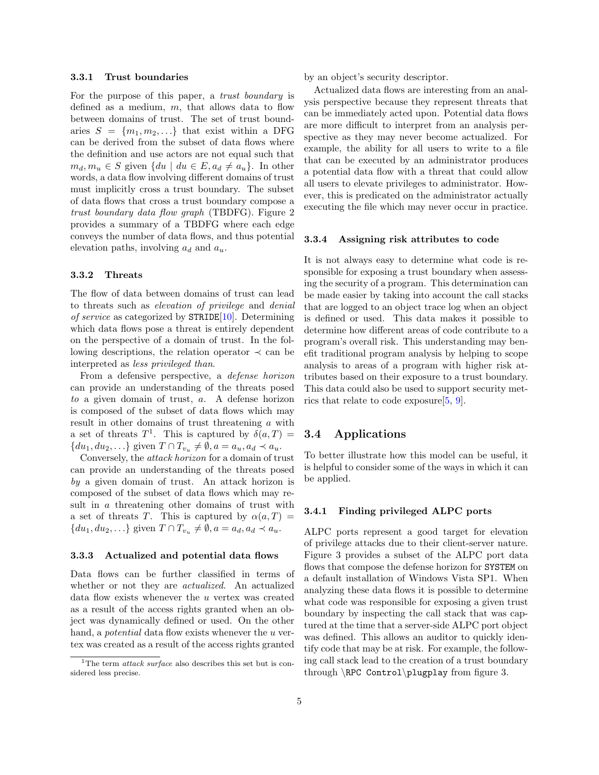#### 3.3.1 Trust boundaries

For the purpose of this paper, a trust boundary is defined as a medium,  $m$ , that allows data to flow between domains of trust. The set of trust boundaries  $S = \{m_1, m_2, \ldots\}$  that exist within a DFG can be derived from the subset of data flows where the definition and use actors are not equal such that  $m_d, m_u \in S$  given  $\{du \mid du \in E, a_d \neq a_u\}$ . In other words, a data flow involving different domains of trust must implicitly cross a trust boundary. The subset of data flows that cross a trust boundary compose a trust boundary data flow graph (TBDFG). Figure [2](#page-5-0) provides a summary of a TBDFG where each edge conveys the number of data flows, and thus potential elevation paths, involving  $a_d$  and  $a_u$ .

#### 3.3.2 Threats

The flow of data between domains of trust can lead to threats such as elevation of privilege and denial of service as categorized by  $\texttt{STRIDE}[10]$  $\texttt{STRIDE}[10]$ . Determining which data flows pose a threat is entirely dependent on the perspective of a domain of trust. In the following descriptions, the relation operator  $\prec$  can be interpreted as less privileged than.

From a defensive perspective, a defense horizon can provide an understanding of the threats posed to a given domain of trust, a. A defense horizon is composed of the subset of data flows which may result in other domains of trust threatening a with a set of threats  $T^1$  $T^1$ . This is captured by  $\delta(a,T)$  =  $\{du_1, du_2, \ldots\}$  given  $T \cap T_{v_u} \neq \emptyset$ ,  $a = a_u, a_d \prec a_u$ .

Conversely, the attack horizon for a domain of trust can provide an understanding of the threats posed by a given domain of trust. An attack horizon is composed of the subset of data flows which may result in a threatening other domains of trust with a set of threats T. This is captured by  $\alpha(a,T)$  =  $\{du_1, du_2, \ldots\}$  given  $T \cap T_{v_u} \neq \emptyset$ ,  $a = a_d, a_d \prec a_u$ .

#### 3.3.3 Actualized and potential data flows

Data flows can be further classified in terms of whether or not they are *actualized*. An actualized data flow exists whenever the  $u$  vertex was created as a result of the access rights granted when an object was dynamically defined or used. On the other hand, a *potential* data flow exists whenever the u vertex was created as a result of the access rights granted by an object's security descriptor.

Actualized data flows are interesting from an analysis perspective because they represent threats that can be immediately acted upon. Potential data flows are more difficult to interpret from an analysis perspective as they may never become actualized. For example, the ability for all users to write to a file that can be executed by an administrator produces a potential data flow with a threat that could allow all users to elevate privileges to administrator. However, this is predicated on the administrator actually executing the file which may never occur in practice.

#### 3.3.4 Assigning risk attributes to code

It is not always easy to determine what code is responsible for exposing a trust boundary when assessing the security of a program. This determination can be made easier by taking into account the call stacks that are logged to an object trace log when an object is defined or used. This data makes it possible to determine how different areas of code contribute to a program's overall risk. This understanding may benefit traditional program analysis by helping to scope analysis to areas of a program with higher risk attributes based on their exposure to a trust boundary. This data could also be used to support security metrics that relate to code exposure[\[5,](#page-6-12) [9\]](#page-6-13).

## 3.4 Applications

To better illustrate how this model can be useful, it is helpful to consider some of the ways in which it can be applied.

#### 3.4.1 Finding privileged ALPC ports

ALPC ports represent a good target for elevation of privilege attacks due to their client-server nature. Figure 3 provides a subset of the ALPC port data flows that compose the defense horizon for SYSTEM on a default installation of Windows Vista SP1. When analyzing these data flows it is possible to determine what code was responsible for exposing a given trust boundary by inspecting the call stack that was captured at the time that a server-side ALPC port object was defined. This allows an auditor to quickly identify code that may be at risk. For example, the following call stack lead to the creation of a trust boundary through \RPC Control\plugplay from figure 3.

<span id="page-4-0"></span><sup>&</sup>lt;sup>1</sup>The term *attack surface* also describes this set but is considered less precise.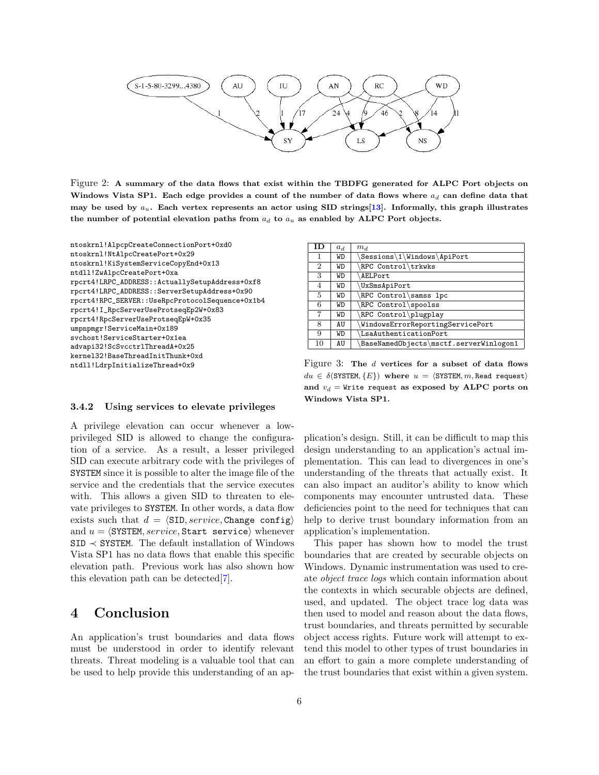

<span id="page-5-0"></span>Figure 2: A summary of the data flows that exist within the TBDFG generated for ALPC Port objects on Windows Vista SP1. Each edge provides a count of the number of data flows where  $a_d$  can define data that may be used by  $a_u$ . Each vertex represents an actor using SID strings[\[13\]](#page-6-14). Informally, this graph illustrates the number of potential elevation paths from  $a_d$  to  $a_u$  as enabled by ALPC Port objects.

| ntoskrnl!AlpcpCreateConnectionPort+0xd0         |
|-------------------------------------------------|
| ntoskrnl!NtAlpcCreatePort+0x29                  |
| ntoskrnl!KiSystemServiceCopyEnd+0x13            |
| ntdll!ZwAlpcCreatePort+0xa                      |
| rpcrt4!LRPC_ADDRESS::ActuallySetupAddress+0xf8  |
| rpcrt4!LRPC_ADDRESS::ServerSetupAddress+0x90    |
| rpcrt4!RPC_SERVER::UseRpcProtocolSequence+0x1b4 |
| rpcrt4!I_RpcServerUseProtseqEp2W+0x83           |
| rpcrt4!RpcServerUseProtseqEpW+0x35              |
| umpnpmgr!ServiceMain+0x189                      |
| svchost!ServiceStarter+0x1ea                    |
| advapi32!ScSvcctrlThreadA+0x25                  |
| kerne132!BaseThreadInitThunk+0xd                |
| ntdll!LdrpInitializeThread+0x9                  |
|                                                 |

| ΙD             | $a_d$ | m <sub>d</sub>                         |
|----------------|-------|----------------------------------------|
|                | WD    | \Sessions\1\Windows\ApiPort            |
| $\overline{2}$ | WD    | RPC Control\trkwks                     |
| 3              | WD    | AELPort                                |
| 4              | WD    | VxSmsApiPort                           |
| 5              | WD    | RPC Control\samss lpc                  |
| 6              | WD    | RPC Control\spoolss                    |
| 7              | WD    | RPC Control\plugplay                   |
| 8              | AU    | WindowsErrorReportingServicePort       |
| 9              | WD    | LsaAuthenticationPort                  |
| 10             | AU    | BaseNamedObjects\msctf.serverWinlogon1 |

Figure 3: The d vertices for a subset of data flows  $du \in \delta(SYSTEM, \{E\})$  where  $u = \langle SYSTEM, m, Read \text{ request}\rangle$ and  $v_d$  = Write request as exposed by ALPC ports on Windows Vista SP1.

#### 3.4.2 Using services to elevate privileges

A privilege elevation can occur whenever a lowprivileged SID is allowed to change the configuration of a service. As a result, a lesser privileged SID can execute arbitrary code with the privileges of SYSTEM since it is possible to alter the image file of the service and the credentials that the service executes with. This allows a given SID to threaten to elevate privileges to SYSTEM. In other words, a data flow exists such that  $d = \langle \text{SID}, service, \text{Change config} \rangle$ and  $u = \langle \text{SYSTEM}, \text{service}, \text{Start} \text{ service} \rangle$  whenever SID ≺ SYSTEM. The default installation of Windows Vista SP1 has no data flows that enable this specific elevation path. Previous work has also shown how this elevation path can be detected[\[7\]](#page-6-10).

## 4 Conclusion

An application's trust boundaries and data flows must be understood in order to identify relevant threats. Threat modeling is a valuable tool that can be used to help provide this understanding of an application's design. Still, it can be difficult to map this design understanding to an application's actual implementation. This can lead to divergences in one's understanding of the threats that actually exist. It can also impact an auditor's ability to know which components may encounter untrusted data. These deficiencies point to the need for techniques that can help to derive trust boundary information from an application's implementation.

This paper has shown how to model the trust boundaries that are created by securable objects on Windows. Dynamic instrumentation was used to create object trace logs which contain information about the contexts in which securable objects are defined, used, and updated. The object trace log data was then used to model and reason about the data flows, trust boundaries, and threats permitted by securable object access rights. Future work will attempt to extend this model to other types of trust boundaries in an effort to gain a more complete understanding of the trust boundaries that exist within a given system.